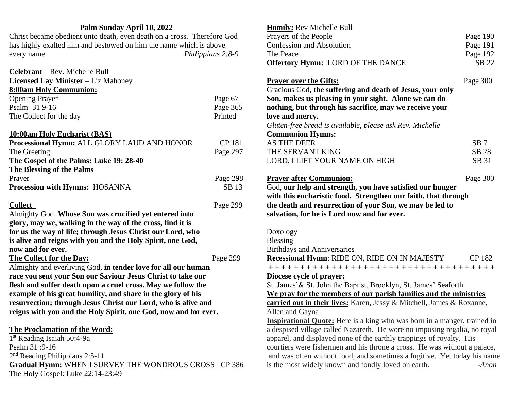## **Palm Sunday April 10, 2022**

Christ became obedient unto death, even death on a cross. Therefore God has highly exalted him and bestowed on him the name which is above every name *Philippians 2:8-9*

| <b>Celebrant</b> – Rev. Michelle Bull       |               |
|---------------------------------------------|---------------|
| <b>Licensed Lay Minister</b> – Liz Mahoney  |               |
| <b>8:00am Holy Communion:</b>               |               |
| <b>Opening Prayer</b>                       | Page 67       |
| Psalm 31 9-16                               | Page 365      |
| The Collect for the day                     | Printed       |
|                                             |               |
| 10:00am Holy Eucharist (BAS)                |               |
| Processional Hymn: ALL GLORY LAUD AND HONOR | <b>CP 181</b> |
| The Greeting                                | Page 297      |
| The Gospel of the Palms: Luke 19: 28-40     |               |
| The Blessing of the Palms                   |               |
| Prayer                                      | Page 298      |
| <b>Procession with Hymns: HOSANNA</b>       | SB 13         |
|                                             |               |

**Collect** Page 299

Almighty God, **Whose Son was crucified yet entered into glory, may we, walking in the way of the cross, find it is for us the way of life; through Jesus Christ our Lord, who is alive and reigns with you and the Holy Spirit, one God, now and for ever.**

### **The Collect for the Day:** Page 299

Almighty and everliving God, **in tender love for all our human race you sent your Son our Saviour Jesus Christ to take our flesh and suffer death upon a cruel cross. May we follow the example of his great humility, and share in the glory of his resurrection; through Jesus Christ our Lord, who is alive and reigns with you and the Holy Spirit, one God, now and for ever.**

## **The Proclamation of the Word:**

1 st Reading Isaiah 50:4-9a Psalm 31 :9-16 2<sup>nd</sup> Reading Philippians 2:5-11 **Gradual Hymn:** WHEN I SURVEY THE WONDROUS CROSS CP 386 The Holy Gospel: Luke 22:14-23:49

| Homily: Rev Michelle Bull                                                       |                 |
|---------------------------------------------------------------------------------|-----------------|
| Prayers of the People                                                           | Page 190        |
| <b>Confession and Absolution</b>                                                | Page 191        |
| The Peace                                                                       | Page 192        |
| <b>Offertory Hymn: LORD OF THE DANCE</b>                                        | SB 22           |
| <b>Prayer over the Gifts:</b>                                                   | Page 300        |
| Gracious God, the suffering and death of Jesus, your only                       |                 |
| Son, makes us pleasing in your sight. Alone we can do                           |                 |
| nothing, but through his sacrifice, may we receive your                         |                 |
| love and mercy.                                                                 |                 |
| Gluten-free bread is available, please ask Rev. Michelle                        |                 |
| <b>Communion Hymns:</b>                                                         |                 |
| <b>AS THE DEER</b>                                                              | SB <sub>7</sub> |
| THE SERVANT KING                                                                | SB 28           |
| LORD, I LIFT YOUR NAME ON HIGH                                                  | SB 31           |
| <b>Prayer after Communion:</b>                                                  | Page 300        |
| God, our help and strength, you have satisfied our hunger                       |                 |
| with this eucharistic food. Strengthen our faith, that through                  |                 |
| the death and resurrection of your Son, we may be led to                        |                 |
| salvation, for he is Lord now and for ever.                                     |                 |
| Doxology                                                                        |                 |
| <b>Blessing</b>                                                                 |                 |
| <b>Birthdays and Anniversaries</b>                                              |                 |
| Recessional Hymn: RIDE ON, RIDE ON IN MAJESTY                                   | <b>CP 182</b>   |
|                                                                                 |                 |
| Diocese cycle of prayer:                                                        |                 |
| St. James' & St. John the Baptist, Brooklyn, St. James' Seaforth.               |                 |
| We pray for the members of our parish families and the ministries               |                 |
| carried out in their lives: Karen, Jessy & Mitchell, James & Roxanne,           |                 |
| Allen and Gayna                                                                 |                 |
| <b>Inspirational Quote:</b> Here is a king who was born in a manger, trained in |                 |
| a despised village called Nazareth. He wore no imposing regalia, no royal       |                 |
| apparel, and displayed none of the earthly trappings of royalty. His            |                 |
| courtiers were fishermen and his throne a cross. He was without a palace,       |                 |
| and was often without food, and sometimes a fugitive. Yet today his name        |                 |
| is the most widely known and fondly loved on earth.                             | -Anon           |